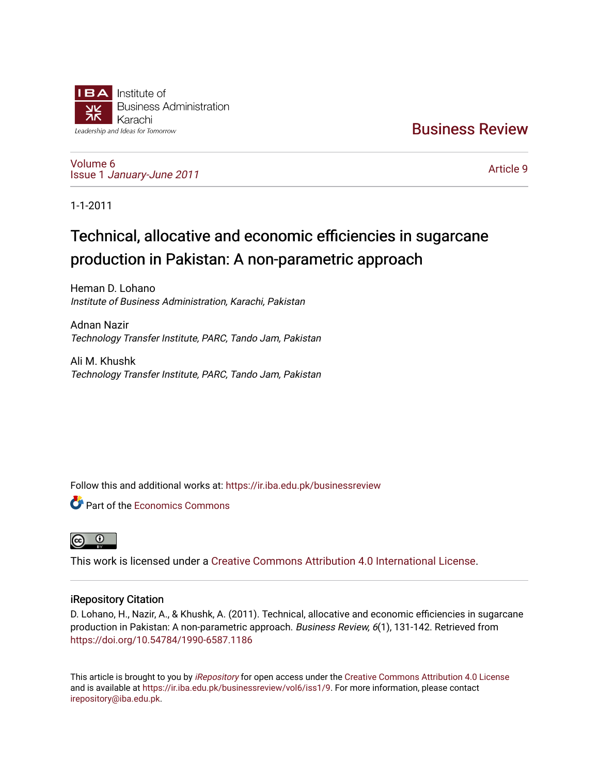

[Business Review](https://ir.iba.edu.pk/businessreview) 

[Volume 6](https://ir.iba.edu.pk/businessreview/vol6) Issue 1 [January-June 2011](https://ir.iba.edu.pk/businessreview/vol6/iss1) 

[Article 9](https://ir.iba.edu.pk/businessreview/vol6/iss1/9) 

1-1-2011

# Technical, allocative and economic efficiencies in sugarcane production in Pakistan: A non-parametric approach

Heman D. Lohano Institute of Business Administration, Karachi, Pakistan

Adnan Nazir Technology Transfer Institute, PARC, Tando Jam, Pakistan

Ali M. Khushk Technology Transfer Institute, PARC, Tando Jam, Pakistan

Follow this and additional works at: [https://ir.iba.edu.pk/businessreview](https://ir.iba.edu.pk/businessreview?utm_source=ir.iba.edu.pk%2Fbusinessreview%2Fvol6%2Fiss1%2F9&utm_medium=PDF&utm_campaign=PDFCoverPages) 

**C** Part of the [Economics Commons](http://network.bepress.com/hgg/discipline/340?utm_source=ir.iba.edu.pk%2Fbusinessreview%2Fvol6%2Fiss1%2F9&utm_medium=PDF&utm_campaign=PDFCoverPages)



This work is licensed under a [Creative Commons Attribution 4.0 International License](https://creativecommons.org/licenses/by/4.0/).

### iRepository Citation

D. Lohano, H., Nazir, A., & Khushk, A. (2011). Technical, allocative and economic efficiencies in sugarcane production in Pakistan: A non-parametric approach. Business Review, 6(1), 131-142. Retrieved from <https://doi.org/10.54784/1990-6587.1186>

This article is brought to you by [iRepository](https://ir.iba.edu.pk/) for open access under the Creative Commons Attribution 4.0 License and is available at [https://ir.iba.edu.pk/businessreview/vol6/iss1/9.](https://ir.iba.edu.pk/businessreview/vol6/iss1/9) For more information, please contact [irepository@iba.edu.pk.](mailto:irepository@iba.edu.pk)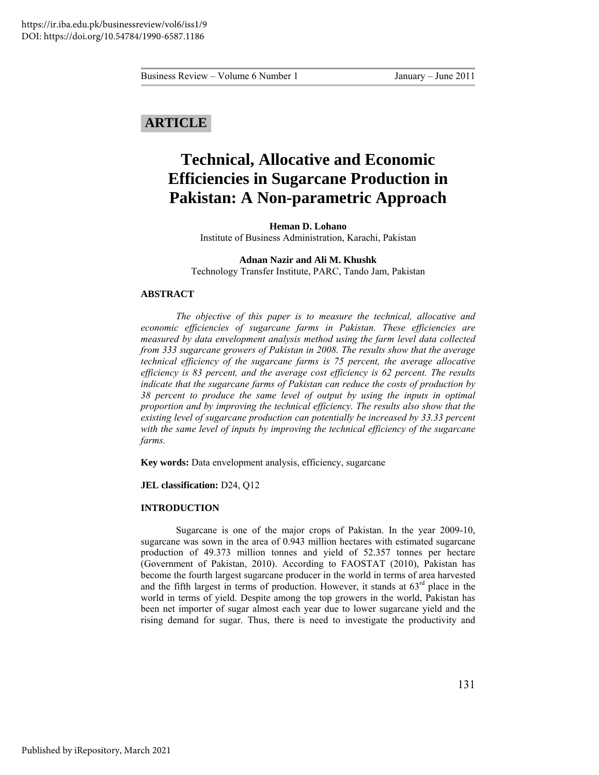## **ARTICLE**

# **Technical, Allocative and Economic Efficiencies in Sugarcane Production in Pakistan: A Non-parametric Approach**

**Heman D. Lohano**  Institute of Business Administration, Karachi, Pakistan

#### **Adnan Nazir and Ali M. Khushk**

Technology Transfer Institute, PARC, Tando Jam, Pakistan

#### **ABSTRACT**

*The objective of this paper is to measure the technical, allocative and economic efficiencies of sugarcane farms in Pakistan. These efficiencies are measured by data envelopment analysis method using the farm level data collected from 333 sugarcane growers of Pakistan in 2008. The results show that the average technical efficiency of the sugarcane farms is 75 percent, the average allocative efficiency is 83 percent, and the average cost efficiency is 62 percent. The results indicate that the sugarcane farms of Pakistan can reduce the costs of production by 38 percent to produce the same level of output by using the inputs in optimal proportion and by improving the technical efficiency. The results also show that the existing level of sugarcane production can potentially be increased by 33.33 percent with the same level of inputs by improving the technical efficiency of the sugarcane farms.* 

**Key words:** Data envelopment analysis, efficiency, sugarcane

**JEL classification:** D24, Q12

#### **INTRODUCTION**

Sugarcane is one of the major crops of Pakistan. In the year 2009-10, sugarcane was sown in the area of 0.943 million hectares with estimated sugarcane production of 49.373 million tonnes and yield of 52.357 tonnes per hectare (Government of Pakistan, 2010). According to FAOSTAT (2010), Pakistan has become the fourth largest sugarcane producer in the world in terms of area harvested and the fifth largest in terms of production. However, it stands at  $63<sup>rd</sup>$  place in the world in terms of yield. Despite among the top growers in the world, Pakistan has been net importer of sugar almost each year due to lower sugarcane yield and the rising demand for sugar. Thus, there is need to investigate the productivity and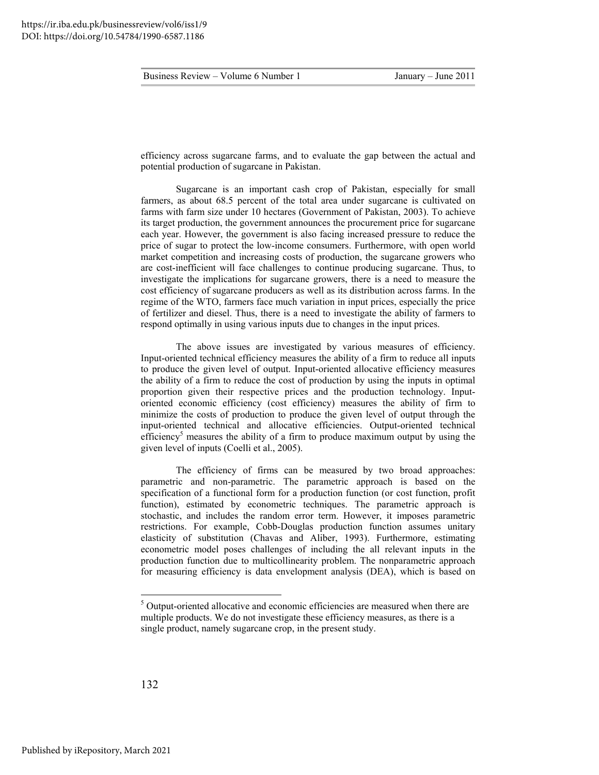efficiency across sugarcane farms, and to evaluate the gap between the actual and potential production of sugarcane in Pakistan.

Sugarcane is an important cash crop of Pakistan, especially for small farmers, as about 68.5 percent of the total area under sugarcane is cultivated on farms with farm size under 10 hectares (Government of Pakistan, 2003). To achieve its target production, the government announces the procurement price for sugarcane each year. However, the government is also facing increased pressure to reduce the price of sugar to protect the low-income consumers. Furthermore, with open world market competition and increasing costs of production, the sugarcane growers who are cost-inefficient will face challenges to continue producing sugarcane. Thus, to investigate the implications for sugarcane growers, there is a need to measure the cost efficiency of sugarcane producers as well as its distribution across farms. In the regime of the WTO, farmers face much variation in input prices, especially the price of fertilizer and diesel. Thus, there is a need to investigate the ability of farmers to respond optimally in using various inputs due to changes in the input prices.

The above issues are investigated by various measures of efficiency. Input-oriented technical efficiency measures the ability of a firm to reduce all inputs to produce the given level of output. Input-oriented allocative efficiency measures the ability of a firm to reduce the cost of production by using the inputs in optimal proportion given their respective prices and the production technology. Inputoriented economic efficiency (cost efficiency) measures the ability of firm to minimize the costs of production to produce the given level of output through the input-oriented technical and allocative efficiencies. Output-oriented technical efficiency<sup>5</sup> measures the ability of a firm to produce maximum output by using the given level of inputs (Coelli et al., 2005).

The efficiency of firms can be measured by two broad approaches: parametric and non-parametric. The parametric approach is based on the specification of a functional form for a production function (or cost function, profit function), estimated by econometric techniques. The parametric approach is stochastic, and includes the random error term. However, it imposes parametric restrictions. For example, Cobb-Douglas production function assumes unitary elasticity of substitution (Chavas and Aliber, 1993). Furthermore, estimating econometric model poses challenges of including the all relevant inputs in the production function due to multicollinearity problem. The nonparametric approach for measuring efficiency is data envelopment analysis (DEA), which is based on

 $\overline{a}$ 

<sup>&</sup>lt;sup>5</sup> Output-oriented allocative and economic efficiencies are measured when there are multiple products. We do not investigate these efficiency measures, as there is a single product, namely sugarcane crop, in the present study.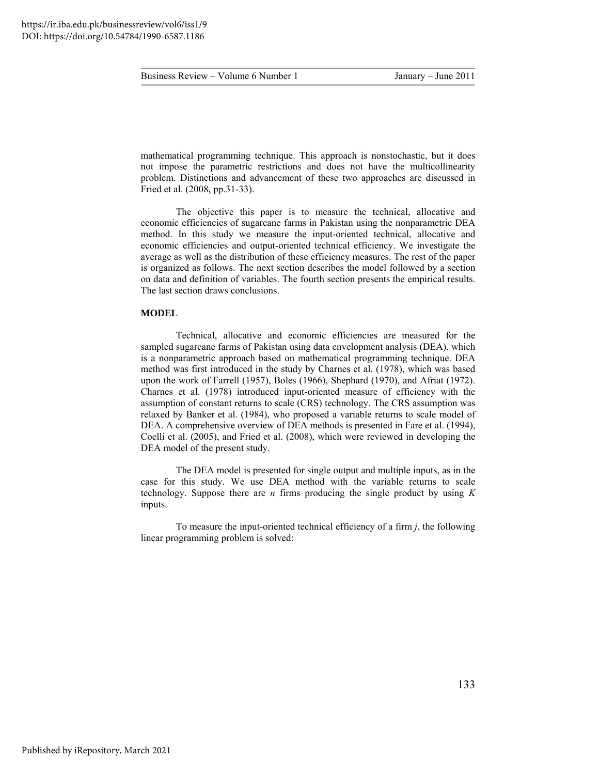mathematical programming technique. This approach is nonstochastic, but it does not impose the parametric restrictions and does not have the multicollinearity problem. Distinctions and advancement of these two approaches are discussed in Fried et al. (2008, pp.31-33).

The objective this paper is to measure the technical, allocative and economic efficiencies of sugarcane farms in Pakistan using the nonparametric DEA method. In this study we measure the input-oriented technical, allocative and economic efficiencies and output-oriented technical efficiency. We investigate the average as well as the distribution of these efficiency measures. The rest of the paper is organized as follows. The next section describes the model followed by a section on data and definition of variables. The fourth section presents the empirical results. The last section draws conclusions.

#### **MODEL**

Technical, allocative and economic efficiencies are measured for the sampled sugarcane farms of Pakistan using data envelopment analysis (DEA), which is a nonparametric approach based on mathematical programming technique. DEA method was first introduced in the study by Charnes et al. (1978), which was based upon the work of Farrell (1957), Boles (1966), Shephard (1970), and Afriat (1972). Charnes et al. (1978) introduced input-oriented measure of efficiency with the assumption of constant returns to scale (CRS) technology. The CRS assumption was relaxed by Banker et al. (1984), who proposed a variable returns to scale model of DEA. A comprehensive overview of DEA methods is presented in Fare et al. (1994), Coelli et al. (2005), and Fried et al. (2008), which were reviewed in developing the DEA model of the present study.

The DEA model is presented for single output and multiple inputs, as in the case for this study. We use DEA method with the variable returns to scale technology. Suppose there are *n* firms producing the single product by using *K* inputs.

To measure the input-oriented technical efficiency of a firm *j*, the following linear programming problem is solved: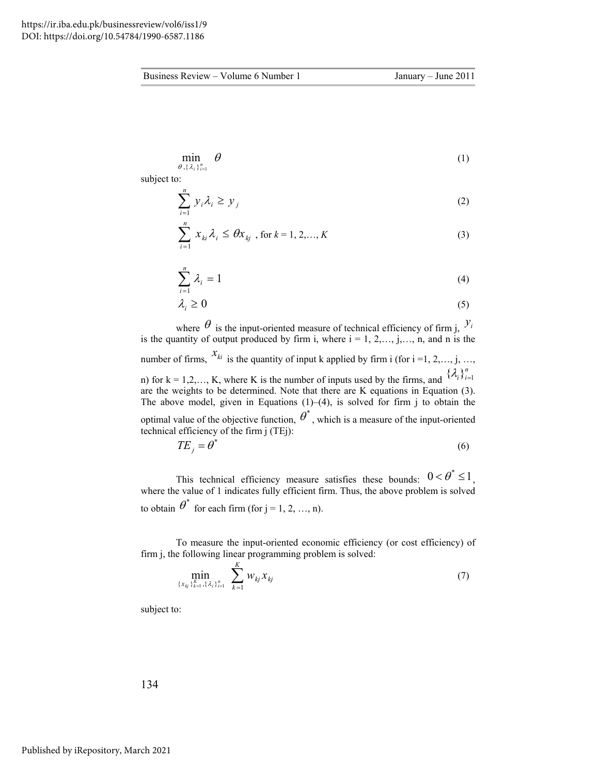$$
\min_{\theta, \{\lambda_i\}_{i=1}^n} \theta \tag{1}
$$

subject to:

$$
\sum_{i=1}^{n} y_i \lambda_i \ge y_j \tag{2}
$$

$$
\sum_{i=1}^{n} x_{ki} \lambda_i \le \theta x_{kj} \text{ , for } k = 1, 2, ..., K
$$
 (3)

$$
\sum_{i=1}^{n} \lambda_i = 1 \tag{4}
$$

$$
\lambda_i \ge 0 \tag{5}
$$

where  $\theta$  is the input-oriented measure of technical efficiency of firm j,  $y_i$ is the quantity of output produced by firm i, where  $i = 1, 2, \ldots, j, \ldots, n$ , and n is the number of firms,  $x_{ki}$  is the quantity of input k applied by firm i (for i =1, 2,..., j, ..., n) for  $k = 1, 2, \ldots, K$ , where K is the number of inputs used by the firms, and  $\{\lambda_i\}_{i=1}^n$ are the weights to be determined. Note that there are K equations in Equation (3). The above model, given in Equations  $(1)$ – $(4)$ , is solved for firm j to obtain the optimal value of the objective function,  $\boldsymbol{\theta}^*$ , which is a measure of the input-oriented technical efficiency of the firm j (TEj):<br> $TE_j = \theta^*$  (6)

This technical efficiency measure satisfies these bounds:  $0 < \theta^* \le 1$ , where the value of 1 indicates fully efficient firm. Thus, the above problem is solved to obtain  $\theta^*$  for each firm (for j = 1, 2, ..., n).

To measure the input-oriented economic efficiency (or cost efficiency) of firm j, the following linear programming problem is solved:

*K*

$$
\min_{\{x_{kj}\}_{k=1}^K, \{ \lambda_i \}_{i=1}^n} \sum_{k=1}^n w_{kj} x_{kj} \tag{7}
$$

subject to:

134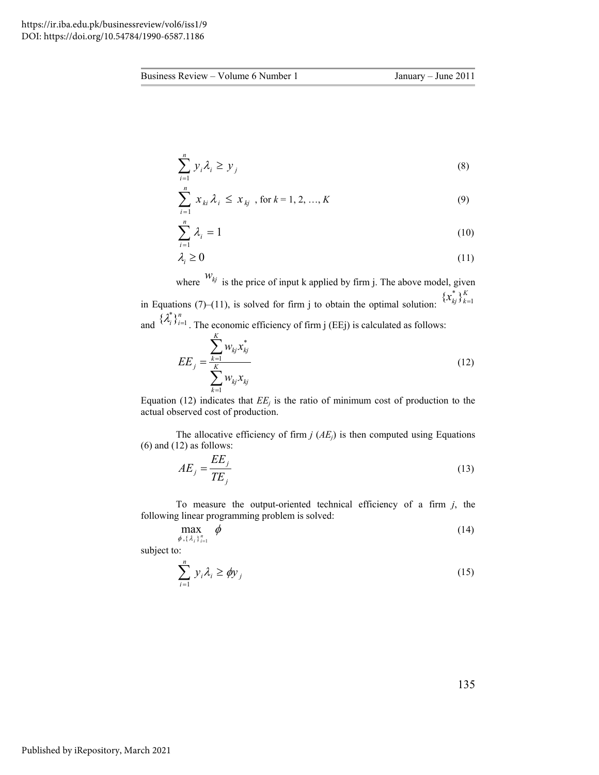$$
\sum_{i=1}^{n} y_i \lambda_i \ge y_j \tag{8}
$$

$$
\sum_{i=1}^{n} x_{ki} \lambda_i \le x_{kj} \quad \text{for } k = 1, 2, ..., K
$$
 (9)

$$
\sum_{i=1}^{n} \lambda_i = 1 \tag{10}
$$

$$
\lambda_i \ge 0 \tag{11}
$$

where  $W_{kj}$  is the price of input k applied by firm j. The above model, given in Equations  $(7)$ – $(11)$ , is solved for firm j to obtain the optimal solution:  ${x_{kj}^*}$ <sub> $k=1$ </sub> and  $\{\lambda_i^*\}_{i=1}^n$ . The economic efficiency of firm j (EEj) is calculated as follows: *n* \*

$$
EE_j = \frac{\sum_{k=1}^{K} w_{kj} x_{kj}^*}{\sum_{k=1}^{K} w_{kj} x_{kj}}
$$
(12)

Equation (12) indicates that  $EE_j$  is the ratio of minimum cost of production to the actual observed cost of production.

The allocative efficiency of firm  $j$   $(AE<sub>i</sub>)$  is then computed using Equations  $(6)$  and  $(12)$  as follows:

$$
AE_j = \frac{EE_j}{TE_j} \tag{13}
$$

To measure the output-oriented technical efficiency of a firm *j*, the following linear programming problem is solved:

$$
\max_{\phi,\{\lambda_i\}_{i=1}^n} \phi \tag{14}
$$

subject to:

$$
\sum_{i=1}^{n} y_i \lambda_i \ge \phi y_j \tag{15}
$$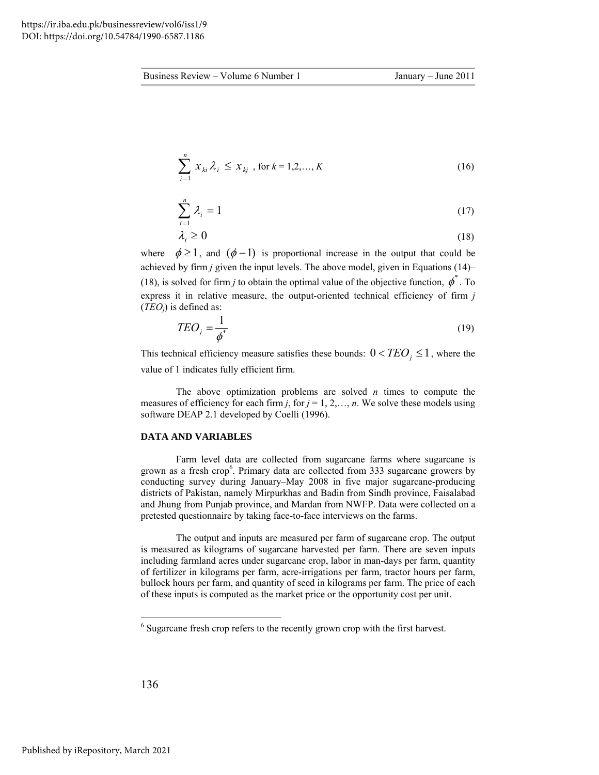$$
\sum_{i=1}^{n} x_{ki} \lambda_i \le x_{kj} \text{ , for } k = 1, 2, ..., K
$$
 (16)

$$
\sum_{i=1}^{n} \lambda_i = 1 \tag{17}
$$

$$
\lambda_i \ge 0 \tag{18}
$$

where  $\phi \ge 1$ , and  $(\phi - 1)$  is proportional increase in the output that could be achieved by firm *j* given the input levels. The above model, given in Equations (14)– (18), is solved for firm *j* to obtain the optimal value of the objective function,  $\phi^{\dagger}$ . To express it in relative measure, the output-oriented technical efficiency of firm *j* (*TEOj*) is defined as:

$$
TEO_j = \frac{1}{\phi^*}
$$
 (19)

This technical efficiency measure satisfies these bounds:  $0 < TEO_j \le 1$ , where the value of 1 indicates fully efficient firm.

The above optimization problems are solved *n* times to compute the measures of efficiency for each firm *j*, for  $j = 1, 2, \ldots, n$ . We solve these models using software DEAP 2.1 developed by Coelli (1996).

#### **DATA AND VARIABLES**

Farm level data are collected from sugarcane farms where sugarcane is grown as a fresh crop<sup>6</sup>. Primary data are collected from 333 sugarcane growers by conducting survey during January–May 2008 in five major sugarcane-producing districts of Pakistan, namely Mirpurkhas and Badin from Sindh province, Faisalabad and Jhung from Punjab province, and Mardan from NWFP. Data were collected on a pretested questionnaire by taking face-to-face interviews on the farms.

The output and inputs are measured per farm of sugarcane crop. The output is measured as kilograms of sugarcane harvested per farm. There are seven inputs including farmland acres under sugarcane crop, labor in man-days per farm, quantity of fertilizer in kilograms per farm, acre-irrigations per farm, tractor hours per farm, bullock hours per farm, and quantity of seed in kilograms per farm. The price of each of these inputs is computed as the market price or the opportunity cost per unit.

 $\overline{a}$ 

<sup>&</sup>lt;sup>6</sup> Sugarcane fresh crop refers to the recently grown crop with the first harvest.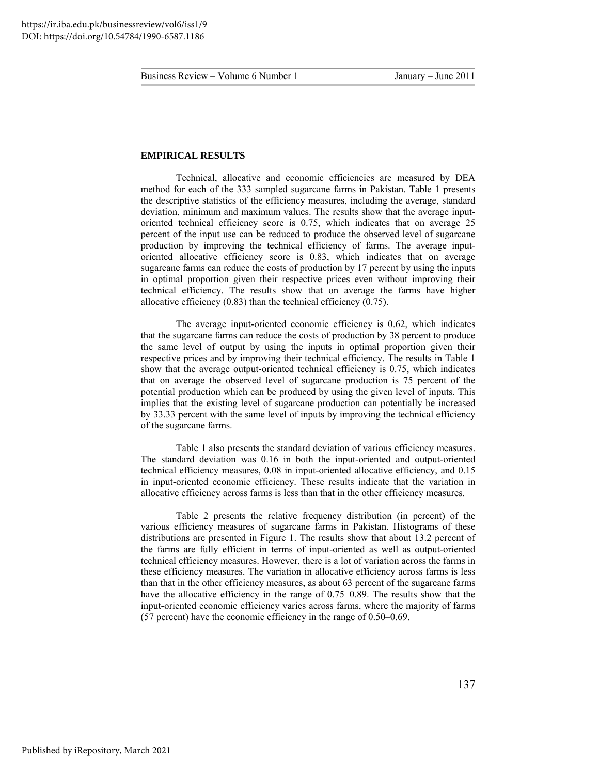#### **EMPIRICAL RESULTS**

Technical, allocative and economic efficiencies are measured by DEA method for each of the 333 sampled sugarcane farms in Pakistan. Table 1 presents the descriptive statistics of the efficiency measures, including the average, standard deviation, minimum and maximum values. The results show that the average inputoriented technical efficiency score is 0.75, which indicates that on average 25 percent of the input use can be reduced to produce the observed level of sugarcane production by improving the technical efficiency of farms. The average inputoriented allocative efficiency score is 0.83, which indicates that on average sugarcane farms can reduce the costs of production by 17 percent by using the inputs in optimal proportion given their respective prices even without improving their technical efficiency. The results show that on average the farms have higher allocative efficiency (0.83) than the technical efficiency (0.75).

The average input-oriented economic efficiency is 0.62, which indicates that the sugarcane farms can reduce the costs of production by 38 percent to produce the same level of output by using the inputs in optimal proportion given their respective prices and by improving their technical efficiency. The results in Table 1 show that the average output-oriented technical efficiency is 0.75, which indicates that on average the observed level of sugarcane production is 75 percent of the potential production which can be produced by using the given level of inputs. This implies that the existing level of sugarcane production can potentially be increased by 33.33 percent with the same level of inputs by improving the technical efficiency of the sugarcane farms.

Table 1 also presents the standard deviation of various efficiency measures. The standard deviation was 0.16 in both the input-oriented and output-oriented technical efficiency measures, 0.08 in input-oriented allocative efficiency, and 0.15 in input-oriented economic efficiency. These results indicate that the variation in allocative efficiency across farms is less than that in the other efficiency measures.

Table 2 presents the relative frequency distribution (in percent) of the various efficiency measures of sugarcane farms in Pakistan. Histograms of these distributions are presented in Figure 1. The results show that about 13.2 percent of the farms are fully efficient in terms of input-oriented as well as output-oriented technical efficiency measures. However, there is a lot of variation across the farms in these efficiency measures. The variation in allocative efficiency across farms is less than that in the other efficiency measures, as about 63 percent of the sugarcane farms have the allocative efficiency in the range of 0.75–0.89. The results show that the input-oriented economic efficiency varies across farms, where the majority of farms (57 percent) have the economic efficiency in the range of 0.50–0.69.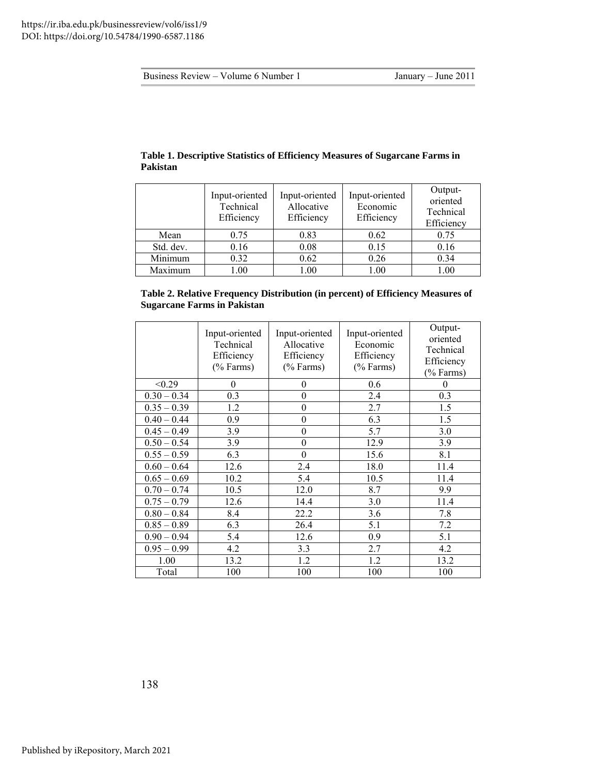Maximum 1.00

|           | Input-oriented<br>Technical<br>Efficiency | Input-oriented<br>Allocative<br>Efficiency | Input-oriented<br>Economic<br>Efficiency | Output-<br>oriented<br>Technical<br>Efficiency |
|-----------|-------------------------------------------|--------------------------------------------|------------------------------------------|------------------------------------------------|
| Mean      | 0.75                                      | 0.83                                       | 0.62                                     | 0.75                                           |
| Std. dev. | 0.16                                      | 0.08                                       | 0.15                                     | 0.16                                           |
| Minimum   | 0.32                                      | 0.62                                       | 0.26                                     | 0.34                                           |
| Maximum   | .00                                       | 1.00                                       | $1.00\,$                                 | 1.00                                           |

#### **Table 1. Descriptive Statistics of Efficiency Measures of Sugarcane Farms in Pakistan**

| Table 2. Relative Frequency Distribution (in percent) of Efficiency Measures of |  |
|---------------------------------------------------------------------------------|--|
| <b>Sugarcane Farms in Pakistan</b>                                              |  |

|               | Input-oriented<br>Technical<br>Efficiency<br>$(\%$ Farms) | Input-oriented<br>Allocative<br>Efficiency<br>$(\%$ Farms) | Input-oriented<br>Economic<br>Efficiency<br>$(\%$ Farms) | Output-<br>oriented<br>Technical<br>Efficiency<br>$(\%$ Farms) |
|---------------|-----------------------------------------------------------|------------------------------------------------------------|----------------------------------------------------------|----------------------------------------------------------------|
| < 0.29        | $\theta$                                                  | $\theta$                                                   | 0.6                                                      | 0                                                              |
| $0.30 - 0.34$ | 0.3                                                       | $\boldsymbol{0}$                                           | 2.4                                                      | 0.3                                                            |
| $0.35 - 0.39$ | 1.2                                                       | $\boldsymbol{0}$                                           | 2.7                                                      | 1.5                                                            |
| $0.40 - 0.44$ | 0.9                                                       | $\theta$                                                   | 6.3                                                      | 1.5                                                            |
| $0.45 - 0.49$ | 3.9                                                       | $\boldsymbol{0}$                                           | 5.7                                                      | 3.0                                                            |
| $0.50 - 0.54$ | 3.9                                                       | $\boldsymbol{0}$                                           | 12.9                                                     | 3.9                                                            |
| $0.55 - 0.59$ | 6.3                                                       | $\theta$                                                   | 15.6                                                     | 8.1                                                            |
| $0.60 - 0.64$ | 12.6                                                      | 2.4                                                        | 18.0                                                     | 11.4                                                           |
| $0.65 - 0.69$ | 10.2                                                      | 5.4                                                        | 10.5                                                     | 11.4                                                           |
| $0.70 - 0.74$ | 10.5                                                      | 12.0                                                       | 8.7                                                      | 9.9                                                            |
| $0.75 - 0.79$ | 12.6                                                      | 14.4                                                       | 3.0                                                      | 11.4                                                           |
| $0.80 - 0.84$ | 8.4                                                       | 22.2                                                       | 3.6                                                      | 7.8                                                            |
| $0.85 - 0.89$ | 6.3                                                       | 26.4                                                       | 5.1                                                      | 7.2                                                            |
| $0.90 - 0.94$ | 5.4                                                       | 12.6                                                       | 0.9                                                      | 5.1                                                            |
| $0.95 - 0.99$ | 4.2                                                       | 3.3                                                        | 2.7                                                      | 4.2                                                            |
| 1.00          | 13.2                                                      | 1.2                                                        | 1.2                                                      | 13.2                                                           |
| Total         | 100                                                       | 100                                                        | 100                                                      | 100                                                            |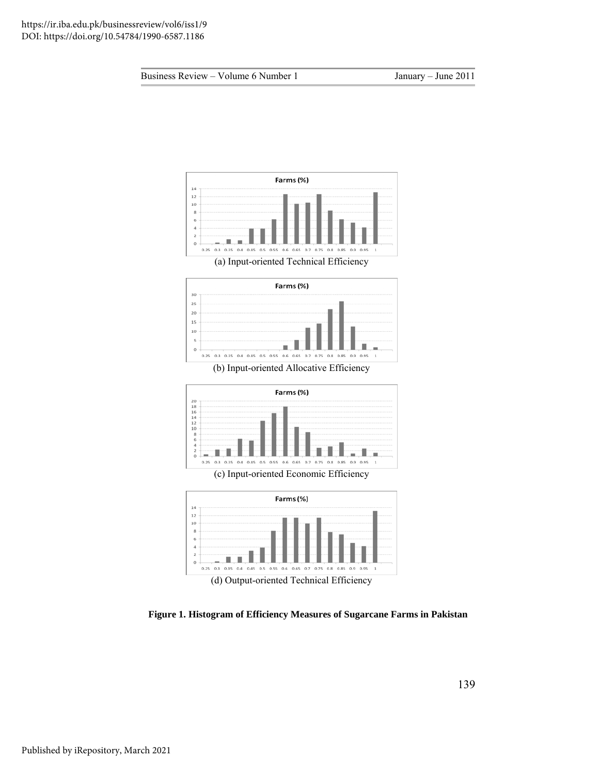



**Figure 1. Histogram of Efficiency Measures of Sugarcane Farms in Pakistan**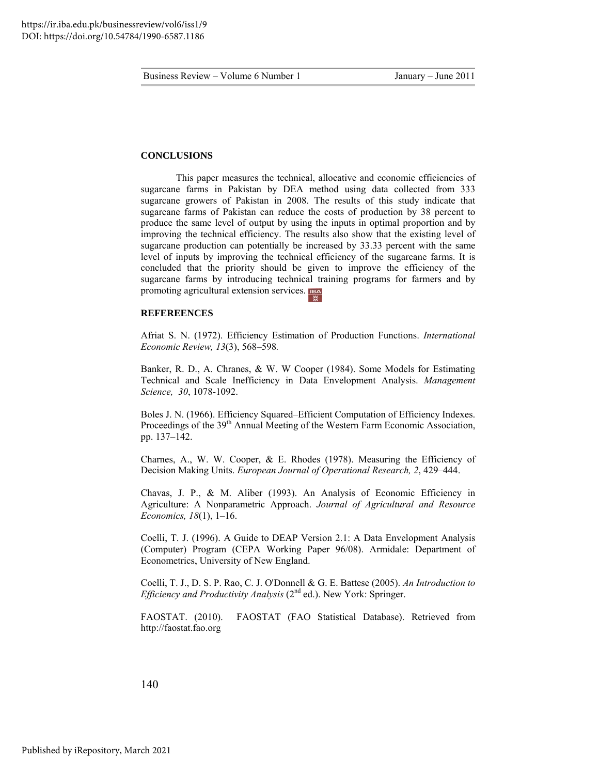#### **CONCLUSIONS**

This paper measures the technical, allocative and economic efficiencies of sugarcane farms in Pakistan by DEA method using data collected from 333 sugarcane growers of Pakistan in 2008. The results of this study indicate that sugarcane farms of Pakistan can reduce the costs of production by 38 percent to produce the same level of output by using the inputs in optimal proportion and by improving the technical efficiency. The results also show that the existing level of sugarcane production can potentially be increased by 33.33 percent with the same level of inputs by improving the technical efficiency of the sugarcane farms. It is concluded that the priority should be given to improve the efficiency of the sugarcane farms by introducing technical training programs for farmers and by promoting agricultural extension services.

#### **REFEREENCES**

Afriat S. N. (1972). Efficiency Estimation of Production Functions. *International Economic Review, 13*(3), 568–598*.*

Banker, R. D., A. Chranes, & W. W Cooper (1984). Some Models for Estimating Technical and Scale Inefficiency in Data Envelopment Analysis. *Management Science, 30*, 1078-1092.

Boles J. N. (1966). Efficiency Squared–Efficient Computation of Efficiency Indexes. Proceedings of the 39<sup>th</sup> Annual Meeting of the Western Farm Economic Association, pp. 137–142.

Charnes, A., W. W. Cooper, & E. Rhodes (1978). Measuring the Efficiency of Decision Making Units. *European Journal of Operational Research, 2*, 429–444.

Chavas, J. P., & M. Aliber (1993). An Analysis of Economic Efficiency in Agriculture: A Nonparametric Approach. *Journal of Agricultural and Resource Economics, 18*(1), 1–16.

Coelli, T. J. (1996). A Guide to DEAP Version 2.1: A Data Envelopment Analysis (Computer) Program (CEPA Working Paper 96/08). Armidale: Department of Econometrics, University of New England.

Coelli, T. J., D. S. P. Rao, C. J. O'Donnell & G. E. Battese (2005). *An Introduction to Efficiency and Productivity Analysis* (2<sup>nd</sup> ed.). New York: Springer.

FAOSTAT. (2010). FAOSTAT (FAO Statistical Database). Retrieved from http://faostat.fao.org

140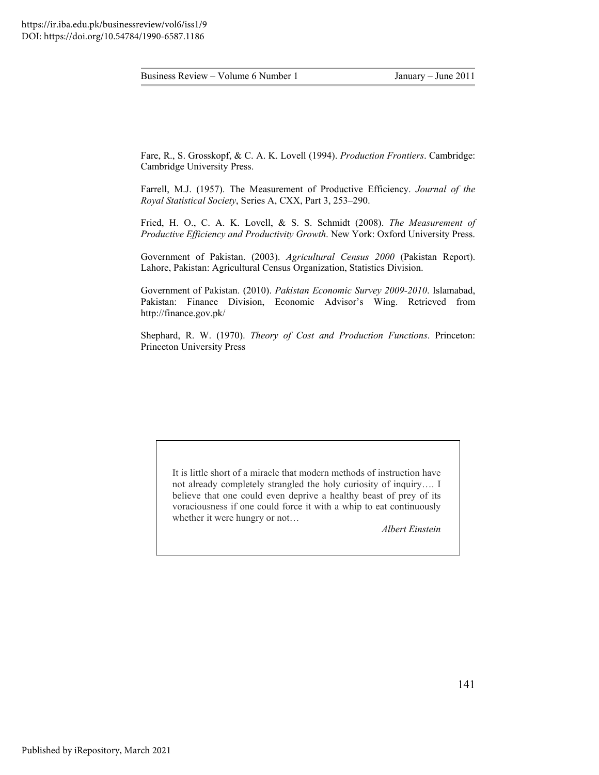Fare, R., S. Grosskopf, & C. A. K. Lovell (1994). *Production Frontiers*. Cambridge: Cambridge University Press.

Farrell, M.J. (1957). The Measurement of Productive Efficiency. *Journal of the Royal Statistical Society*, Series A, CXX, Part 3, 253–290.

Fried, H. O., C. A. K. Lovell, & S. S. Schmidt (2008). *The Measurement of Productive Efficiency and Productivity Growth*. New York: Oxford University Press.

Government of Pakistan. (2003). *Agricultural Census 2000* (Pakistan Report). Lahore, Pakistan: Agricultural Census Organization, Statistics Division.

Government of Pakistan. (2010). *Pakistan Economic Survey 2009-2010*. Islamabad, Pakistan: Finance Division, Economic Advisor's Wing. Retrieved from http://finance.gov.pk/

Shephard, R. W. (1970). *Theory of Cost and Production Functions*. Princeton: Princeton University Press

It is little short of a miracle that modern methods of instruction have not already completely strangled the holy curiosity of inquiry…. I believe that one could even deprive a healthy beast of prey of its voraciousness if one could force it with a whip to eat continuously whether it were hungry or not…

*Albert Einstein*